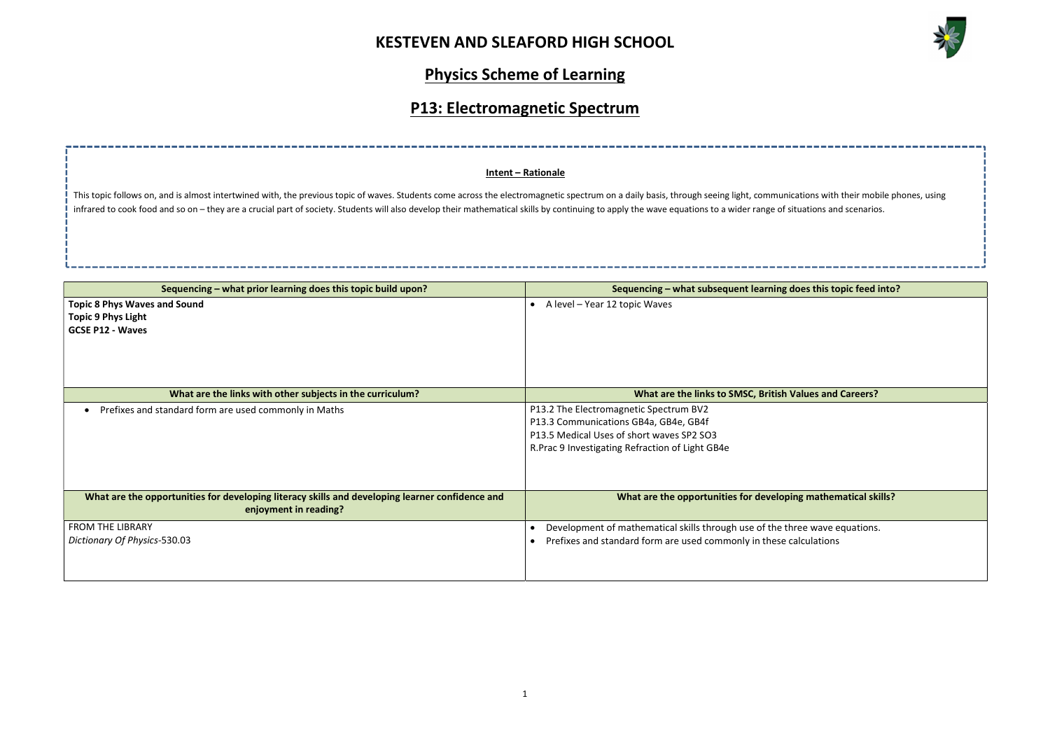

| ations with their mobile phones, using |
|----------------------------------------|
| tuations and scenarios.                |
|                                        |
|                                        |
|                                        |
|                                        |
|                                        |
|                                        |
|                                        |
|                                        |
| oes this topic feed into?              |
|                                        |
|                                        |
|                                        |
|                                        |
|                                        |
|                                        |
|                                        |
|                                        |
|                                        |
|                                        |
|                                        |
| alues and Careers?                     |
|                                        |
|                                        |
|                                        |
|                                        |
|                                        |
|                                        |
|                                        |
|                                        |
|                                        |
|                                        |
| ng mathematical skills?                |
|                                        |
|                                        |
|                                        |
| ree wave equations.                    |
| alculations                            |
|                                        |
|                                        |
|                                        |
|                                        |

# Physics Scheme of Learning

## P13: Electromagnetic Spectrum

| Sequencing – what prior learning does this topic build upon?                                                             | Sequencing – what subsequent learning does this topic feed into?                                                                                                                 |
|--------------------------------------------------------------------------------------------------------------------------|----------------------------------------------------------------------------------------------------------------------------------------------------------------------------------|
| <b>Topic 8 Phys Waves and Sound</b><br><b>Topic 9 Phys Light</b><br><b>GCSE P12 - Waves</b>                              | $\bullet$ A level – Year 12 topic Waves                                                                                                                                          |
| What are the links with other subjects in the curriculum?                                                                | What are the links to SMSC, British Values and Careers?                                                                                                                          |
| Prefixes and standard form are used commonly in Maths                                                                    | P13.2 The Electromagnetic Spectrum BV2<br>P13.3 Communications GB4a, GB4e, GB4f<br>P13.5 Medical Uses of short waves SP2 SO3<br>R. Prac 9 Investigating Refraction of Light GB4e |
| What are the opportunities for developing literacy skills and developing learner confidence and<br>enjoyment in reading? | What are the opportunities for developing mathematical skills?                                                                                                                   |
| <b>FROM THE LIBRARY</b><br>Dictionary Of Physics-530.03                                                                  | Development of mathematical skills through use of the three wave equations.<br>Prefixes and standard form are used commonly in these calculations                                |

#### Intent – Rationale

This topic follows on, and is almost intertwined with, the previous topic of waves. Students come across the electromagnetic spectrum on a daily basis, through seeing light, communications with their mobile phones with the infrared to cook food and so on – they are a crucial part of society. Students will also develop their mathematical skills by continuing to apply the wave equations to a wider range of sit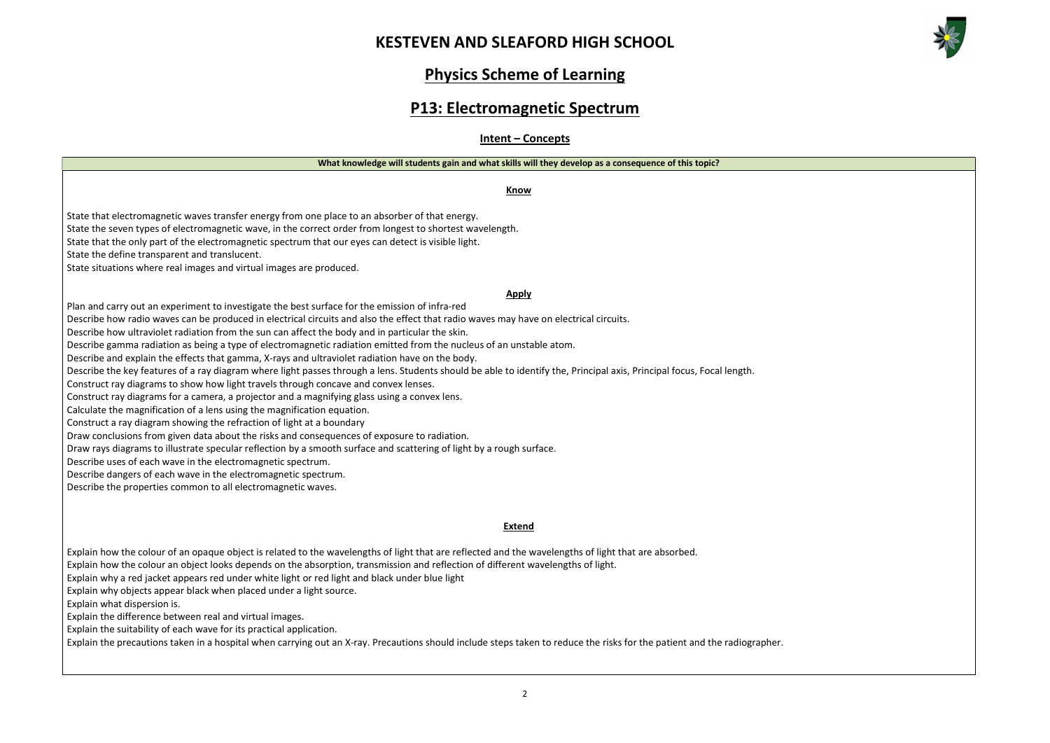



### Physics Scheme of Learning

### P13: Electromagnetic Spectrum

Intent – Concepts

Know

State that electromagnetic waves transfer energy from one place to an absorber of that energy.

State the seven types of electromagnetic wave, in the correct order from longest to shortest wavelength.

State that the only part of the electromagnetic spectrum that our eyes can detect is visible light.

State the define transparent and translucent.

State situations where real images and virtual images are produced.

#### Apply

Plan and carry out an experiment to investigate the best surface for the emission of infra-red

Describe how radio waves can be produced in electrical circuits and also the effect that radio waves may have on electrical circuits.

Describe how ultraviolet radiation from the sun can affect the body and in particular the skin.

Describe gamma radiation as being a type of electromagnetic radiation emitted from the nucleus of an unstable atom.

Describe and explain the effects that gamma, X-rays and ultraviolet radiation have on the body.

Describe the key features of a ray diagram where light passes through a lens. Students should be able to identify the, Principal axis, Principal focus, Focal length.

Construct ray diagrams to show how light travels through concave and convex lenses.

Construct ray diagrams for a camera, a projector and a magnifying glass using a convex lens.

Calculate the magnification of a lens using the magnification equation.

Construct a ray diagram showing the refraction of light at a boundary

Draw conclusions from given data about the risks and consequences of exposure to radiation.

Draw rays diagrams to illustrate specular reflection by a smooth surface and scattering of light by a rough surface.

Describe uses of each wave in the electromagnetic spectrum.

Describe dangers of each wave in the electromagnetic spectrum.

Describe the properties common to all electromagnetic waves.

#### Extend

Explain how the colour of an opaque object is related to the wavelengths of light that are reflected and the wavelengths of light that are absorbed.

Explain how the colour an object looks depends on the absorption, transmission and reflection of different wavelengths of light.

Explain why a red jacket appears red under white light or red light and black under blue light

Explain why objects appear black when placed under a light source.

Explain what dispersion is.

Explain the difference between real and virtual images.

Explain the suitability of each wave for its practical application.

Explain the precautions taken in a hospital when carrying out an X-ray. Precautions should include steps taken to reduce the risks for the patient and the radiographer.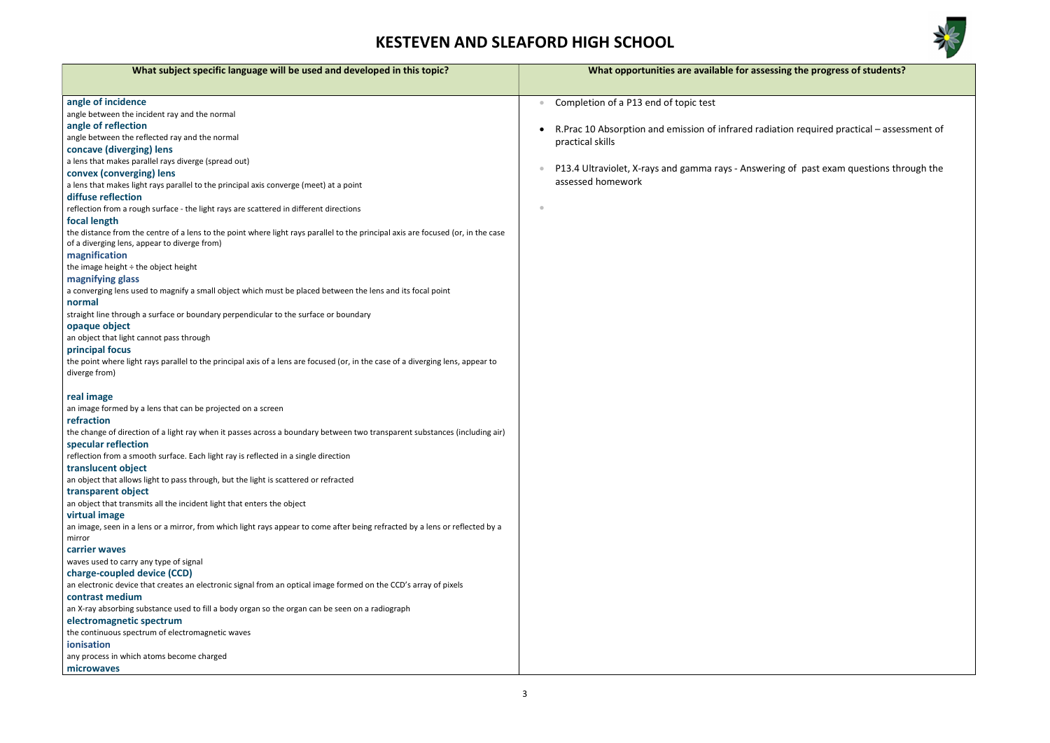

g the progress of students?

on required practical – assessment of

of past exam questions through the

| What subject specific language will be used and developed in this topic?                                                                                                         | What opportunities are available for assessing          |
|----------------------------------------------------------------------------------------------------------------------------------------------------------------------------------|---------------------------------------------------------|
|                                                                                                                                                                                  |                                                         |
| angle of incidence<br>angle between the incident ray and the normal                                                                                                              | Completion of a P13 end of topic test                   |
| angle of reflection                                                                                                                                                              | R. Prac 10 Absorption and emission of infrared radiatio |
| angle between the reflected ray and the normal                                                                                                                                   | practical skills                                        |
| concave (diverging) lens                                                                                                                                                         |                                                         |
| a lens that makes parallel rays diverge (spread out)                                                                                                                             |                                                         |
| convex (converging) lens                                                                                                                                                         | P13.4 Ultraviolet, X-rays and gamma rays - Answering    |
| a lens that makes light rays parallel to the principal axis converge (meet) at a point                                                                                           | assessed homework                                       |
| diffuse reflection                                                                                                                                                               |                                                         |
| reflection from a rough surface - the light rays are scattered in different directions                                                                                           | $\bullet$                                               |
| focal length                                                                                                                                                                     |                                                         |
| the distance from the centre of a lens to the point where light rays parallel to the principal axis are focused (or, in the case<br>of a diverging lens, appear to diverge from) |                                                         |
| magnification                                                                                                                                                                    |                                                         |
| the image height $\div$ the object height                                                                                                                                        |                                                         |
| magnifying glass<br>a converging lens used to magnify a small object which must be placed between the lens and its focal point<br>normal                                         |                                                         |
| straight line through a surface or boundary perpendicular to the surface or boundary                                                                                             |                                                         |
| opaque object                                                                                                                                                                    |                                                         |
| an object that light cannot pass through                                                                                                                                         |                                                         |
| principal focus                                                                                                                                                                  |                                                         |
| the point where light rays parallel to the principal axis of a lens are focused (or, in the case of a diverging lens, appear to                                                  |                                                         |
| diverge from)                                                                                                                                                                    |                                                         |
|                                                                                                                                                                                  |                                                         |
| real image                                                                                                                                                                       |                                                         |
| an image formed by a lens that can be projected on a screen                                                                                                                      |                                                         |
| refraction                                                                                                                                                                       |                                                         |
| the change of direction of a light ray when it passes across a boundary between two transparent substances (including air)                                                       |                                                         |
| specular reflection                                                                                                                                                              |                                                         |
| reflection from a smooth surface. Each light ray is reflected in a single direction                                                                                              |                                                         |
| translucent object                                                                                                                                                               |                                                         |
| an object that allows light to pass through, but the light is scattered or refracted                                                                                             |                                                         |
| transparent object                                                                                                                                                               |                                                         |
| an object that transmits all the incident light that enters the object                                                                                                           |                                                         |
| virtual image                                                                                                                                                                    |                                                         |
| an image, seen in a lens or a mirror, from which light rays appear to come after being refracted by a lens or reflected by a<br>mirror                                           |                                                         |
| carrier waves                                                                                                                                                                    |                                                         |
| waves used to carry any type of signal                                                                                                                                           |                                                         |
| charge-coupled device (CCD)                                                                                                                                                      |                                                         |
| an electronic device that creates an electronic signal from an optical image formed on the CCD's array of pixels                                                                 |                                                         |
| contrast medium                                                                                                                                                                  |                                                         |
| an X-ray absorbing substance used to fill a body organ so the organ can be seen on a radiograph                                                                                  |                                                         |
| electromagnetic spectrum                                                                                                                                                         |                                                         |
| the continuous spectrum of electromagnetic waves                                                                                                                                 |                                                         |
| ionisation                                                                                                                                                                       |                                                         |
| any process in which atoms become charged                                                                                                                                        |                                                         |
| microwaves                                                                                                                                                                       |                                                         |
|                                                                                                                                                                                  |                                                         |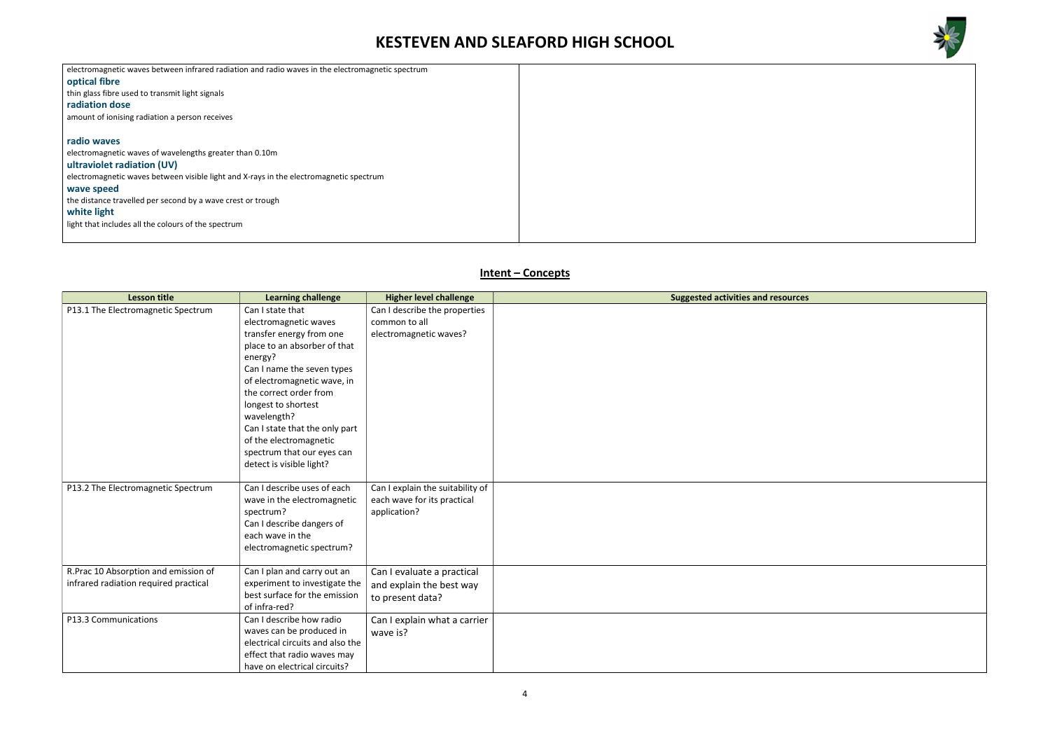



| electromagnetic waves between infrared radiation and radio waves in the electromagnetic spectrum |  |
|--------------------------------------------------------------------------------------------------|--|
| optical fibre                                                                                    |  |
| thin glass fibre used to transmit light signals                                                  |  |
| radiation dose                                                                                   |  |
| amount of ionising radiation a person receives                                                   |  |
|                                                                                                  |  |
| radio waves                                                                                      |  |
| electromagnetic waves of wavelengths greater than 0.10m                                          |  |
| ultraviolet radiation (UV)                                                                       |  |
| electromagnetic waves between visible light and X-rays in the electromagnetic spectrum           |  |
| wave speed                                                                                       |  |
| the distance travelled per second by a wave crest or trough                                      |  |
| white light                                                                                      |  |
| light that includes all the colours of the spectrum                                              |  |
|                                                                                                  |  |
|                                                                                                  |  |

### Intent – Concepts

| <b>Lesson title</b>                   | <b>Learning challenge</b>                | <b>Higher level challenge</b>    | <b>Suggested activities and resources</b> |
|---------------------------------------|------------------------------------------|----------------------------------|-------------------------------------------|
| P13.1 The Electromagnetic Spectrum    | Can I state that                         | Can I describe the properties    |                                           |
|                                       | electromagnetic waves                    | common to all                    |                                           |
|                                       | transfer energy from one                 | electromagnetic waves?           |                                           |
|                                       | place to an absorber of that             |                                  |                                           |
|                                       | energy?                                  |                                  |                                           |
|                                       | Can I name the seven types               |                                  |                                           |
|                                       | of electromagnetic wave, in              |                                  |                                           |
|                                       | the correct order from                   |                                  |                                           |
|                                       | longest to shortest                      |                                  |                                           |
|                                       | wavelength?                              |                                  |                                           |
|                                       | Can I state that the only part           |                                  |                                           |
|                                       | of the electromagnetic                   |                                  |                                           |
|                                       | spectrum that our eyes can               |                                  |                                           |
|                                       | detect is visible light?                 |                                  |                                           |
|                                       |                                          |                                  |                                           |
| P13.2 The Electromagnetic Spectrum    | Can I describe uses of each              | Can I explain the suitability of |                                           |
|                                       | wave in the electromagnetic<br>spectrum? | each wave for its practical      |                                           |
|                                       | Can I describe dangers of                | application?                     |                                           |
|                                       | each wave in the                         |                                  |                                           |
|                                       | electromagnetic spectrum?                |                                  |                                           |
|                                       |                                          |                                  |                                           |
| R.Prac 10 Absorption and emission of  | Can I plan and carry out an              | Can I evaluate a practical       |                                           |
| infrared radiation required practical | experiment to investigate the            | and explain the best way         |                                           |
|                                       | best surface for the emission            | to present data?                 |                                           |
|                                       | of infra-red?                            |                                  |                                           |
| P13.3 Communications                  | Can I describe how radio                 | Can I explain what a carrier     |                                           |
|                                       | waves can be produced in                 | wave is?                         |                                           |
|                                       | electrical circuits and also the         |                                  |                                           |
|                                       | effect that radio waves may              |                                  |                                           |
|                                       | have on electrical circuits?             |                                  |                                           |